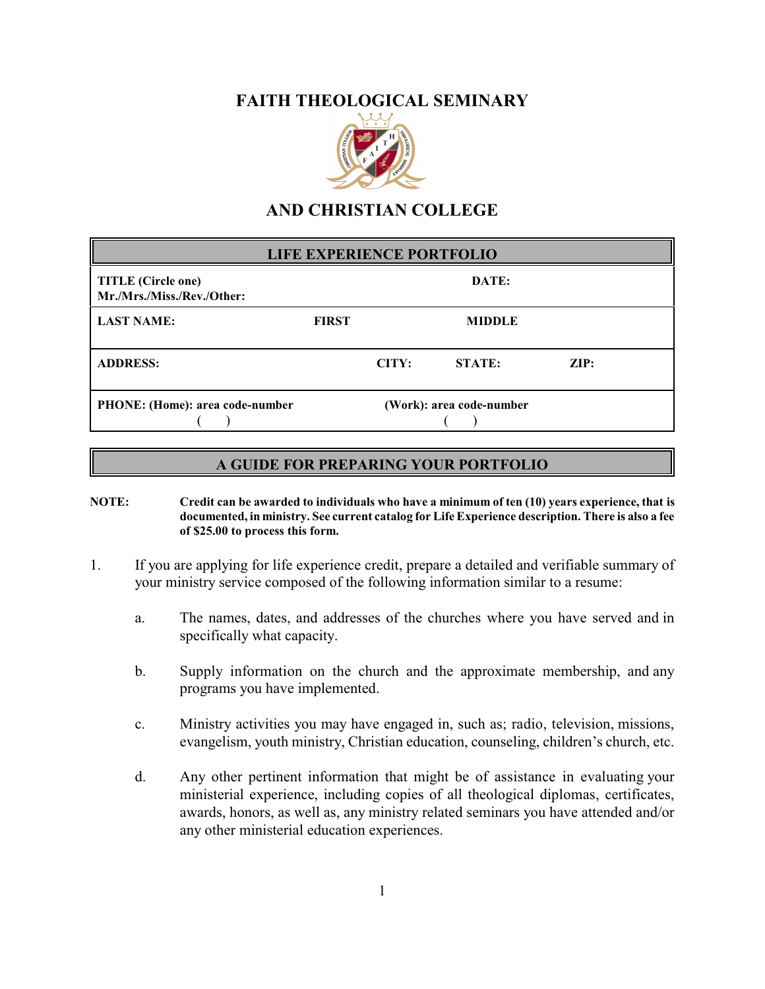## **FAITH THEOLOGICAL SEMINARY**



## **AND CHRISTIAN COLLEGE**

| <b>LIFE EXPERIENCE PORTFOLIO</b>                        |                          |       |               |      |  |  |
|---------------------------------------------------------|--------------------------|-------|---------------|------|--|--|
| <b>TITLE</b> (Circle one)<br>Mr./Mrs./Miss./Rev./Other: | DATE:                    |       |               |      |  |  |
| <b>LAST NAME:</b>                                       | <b>FIRST</b>             |       | <b>MIDDLE</b> |      |  |  |
| <b>ADDRESS:</b>                                         |                          | CITY: | STATE:        | ZIP: |  |  |
| <b>PHONE:</b> (Home): area code-number                  | (Work): area code-number |       |               |      |  |  |

## **A GUIDE FOR PREPARING YOUR PORTFOLIO**

- **NOTE: Credit can be awarded to individuals who have a minimum of ten (10) years experience, that is documented, in ministry. See current catalog for Life Experience description. There is also a fee of \$25.00 to process this form.**
- 1. If you are applying for life experience credit, prepare a detailed and verifiable summary of your ministry service composed of the following information similar to a resume:
	- a. The names, dates, and addresses of the churches where you have served and in specifically what capacity.
	- b. Supply information on the church and the approximate membership, and any programs you have implemented.
	- c. Ministry activities you may have engaged in, such as; radio, television, missions, evangelism, youth ministry, Christian education, counseling, children's church, etc.
	- d. Any other pertinent information that might be of assistance in evaluating your ministerial experience, including copies of all theological diplomas, certificates, awards, honors, as well as, any ministry related seminars you have attended and/or any other ministerial education experiences.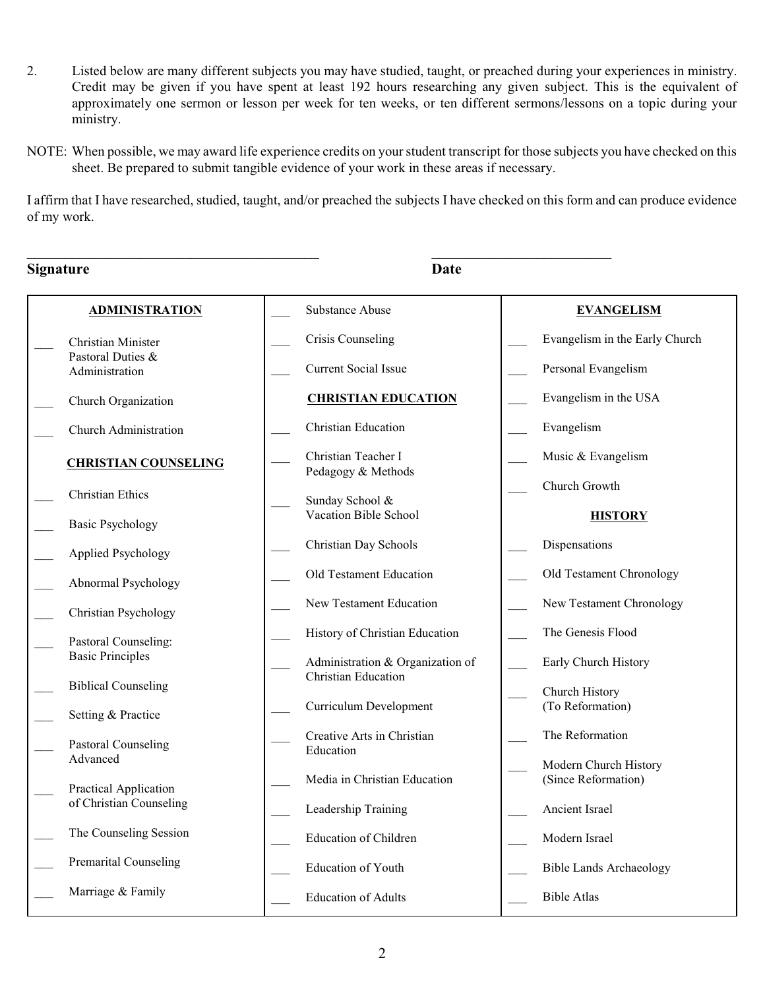- 2. Listed below are many different subjects you may have studied, taught, or preached during your experiences in ministry. Credit may be given if you have spent at least 192 hours researching any given subject. This is the equivalent of approximately one sermon or lesson per week for ten weeks, or ten different sermons/lessons on a topic during your ministry.
- NOTE: When possible, we may award life experience credits on your student transcript for those subjects you have checked on this sheet. Be prepared to submit tangible evidence of your work in these areas if necessary.

I affirm that I have researched, studied, taught, and/or preached the subjects I have checked on this form and can produce evidence of my work.

**\_\_\_\_\_\_\_\_\_\_\_\_\_\_\_\_\_\_\_\_\_\_\_\_\_\_\_\_\_\_\_\_\_\_\_\_\_\_\_ \_\_\_\_\_\_\_\_\_\_\_\_\_\_\_\_\_\_\_\_\_\_\_\_**

| <b>Signature</b>                                 | <b>Date</b>                                                    |                                              |
|--------------------------------------------------|----------------------------------------------------------------|----------------------------------------------|
| <b>ADMINISTRATION</b>                            | <b>Substance Abuse</b>                                         | <b>EVANGELISM</b>                            |
| Christian Minister                               | Crisis Counseling                                              | Evangelism in the Early Church               |
| Pastoral Duties &<br>Administration              | <b>Current Social Issue</b>                                    | Personal Evangelism                          |
| Church Organization                              | <b>CHRISTIAN EDUCATION</b>                                     | Evangelism in the USA                        |
| Church Administration                            | <b>Christian Education</b>                                     | Evangelism                                   |
| <b>CHRISTIAN COUNSELING</b>                      | Christian Teacher I<br>Pedagogy & Methods                      | Music & Evangelism                           |
| <b>Christian Ethics</b>                          | Sunday School &                                                | Church Growth                                |
| <b>Basic Psychology</b>                          | Vacation Bible School                                          | <b>HISTORY</b>                               |
| Applied Psychology                               | Christian Day Schools                                          | Dispensations                                |
| Abnormal Psychology                              | Old Testament Education                                        | Old Testament Chronology                     |
| Christian Psychology                             | New Testament Education                                        | New Testament Chronology                     |
| Pastoral Counseling:                             | History of Christian Education                                 | The Genesis Flood                            |
| <b>Basic Principles</b>                          | Administration & Organization of<br><b>Christian Education</b> | Early Church History                         |
| <b>Biblical Counseling</b>                       | Curriculum Development                                         | Church History<br>(To Reformation)           |
| Setting & Practice                               |                                                                |                                              |
| <b>Pastoral Counseling</b><br>Advanced           | Creative Arts in Christian<br>Education                        | The Reformation                              |
|                                                  | Media in Christian Education                                   | Modern Church History<br>(Since Reformation) |
| Practical Application<br>of Christian Counseling | Leadership Training                                            | Ancient Israel                               |
| The Counseling Session                           | <b>Education of Children</b>                                   | Modern Israel                                |
| <b>Premarital Counseling</b>                     | Education of Youth                                             | <b>Bible Lands Archaeology</b>               |
| Marriage & Family                                | <b>Education of Adults</b>                                     | <b>Bible Atlas</b>                           |
|                                                  |                                                                |                                              |